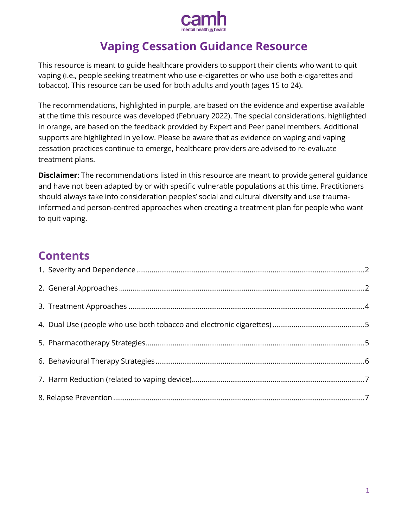

# **Vaping Cessation Guidance Resource**

This resource is meant to guide healthcare providers to support their clients who want to quit vaping (i.e., people seeking treatment who use e-cigarettes or who use both e-cigarettes and tobacco). This resource can be used for both adults and youth (ages 15 to 24).

The recommendations, highlighted in purple, are based on the evidence and expertise available at the time this resource was developed (February 2022). The special considerations, highlighted in orange, are based on the feedback provided by Expert and Peer panel members. Additional supports are highlighted in yellow. Please be aware that as evidence on vaping and vaping cessation practices continue to emerge, healthcare providers are advised to re-evaluate treatment plans.

**Disclaimer**: The recommendations listed in this resource are meant to provide general guidance and have not been adapted by or with specific vulnerable populations at this time. Practitioners should always take into consideration peoples' social and cultural diversity and use traumainformed and person-centred approaches when creating a treatment plan for people who want to quit vaping.

## **Contents**

<span id="page-0-0"></span>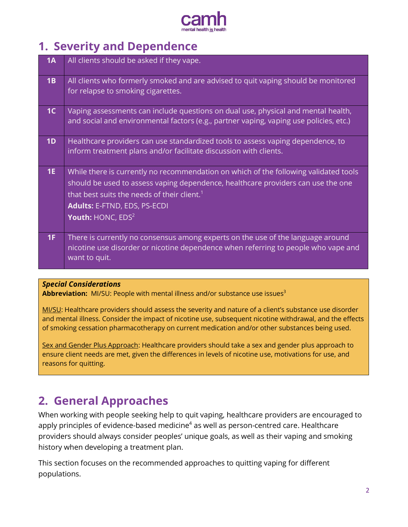

# **1. Severity and Dependence**

| 1A             | All clients should be asked if they vape.                                                                                                                                                                                                                                                            |
|----------------|------------------------------------------------------------------------------------------------------------------------------------------------------------------------------------------------------------------------------------------------------------------------------------------------------|
| 1B             | All clients who formerly smoked and are advised to quit vaping should be monitored<br>for relapse to smoking cigarettes.                                                                                                                                                                             |
| 1 <sup>C</sup> | Vaping assessments can include questions on dual use, physical and mental health,<br>and social and environmental factors (e.g., partner vaping, vaping use policies, etc.)                                                                                                                          |
| 1D             | Healthcare providers can use standardized tools to assess vaping dependence, to<br>inform treatment plans and/or facilitate discussion with clients.                                                                                                                                                 |
| 1E             | While there is currently no recommendation on which of the following validated tools<br>should be used to assess vaping dependence, healthcare providers can use the one<br>that best suits the needs of their client. <sup>1</sup><br><b>Adults: E-FTND, EDS, PS-ECDI</b><br>Youth: $HONC$ , $EDS2$ |
| 1F             | There is currently no consensus among experts on the use of the language around<br>nicotine use disorder or nicotine dependence when referring to people who vape and<br>want to quit.                                                                                                               |

### *Special Considerations*

Abbreviation: MI/SU: People with mental illness and/or substance use issues<sup>3</sup>

MI/SU: Healthcare providers should assess the severity and nature of a client's substance use disorder and mental illness. Consider the impact of nicotine use, subsequent nicotine withdrawal, and the effects of smoking cessation pharmacotherapy on current medication and/or other substances being used.

Sex and Gender Plus Approach: Healthcare providers should take a sex and gender plus approach to ensure client needs are met, given the differences in levels of nicotine use, motivations for use, and reasons for quitting.

## <span id="page-1-0"></span>**2. General Approaches**

When working with people seeking help to quit vaping, healthcare providers are encouraged to apply principles of evidence-based medicine $4$  as well as person-centred care. Healthcare providers should always consider peoples' unique goals, as well as their vaping and smoking history when developing a treatment plan.

This section focuses on the recommended approaches to quitting vaping for different populations.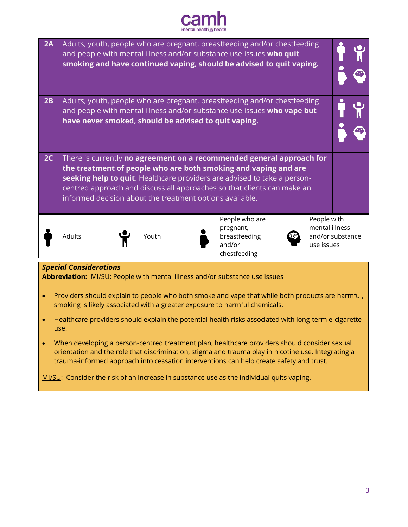

| 2A                                                                                                           |                                                                                                                                                                                                                                                                                                                                                             |                                                      | Adults, youth, people who are pregnant, breastfeeding and/or chestfeeding<br>and people with mental illness and/or substance use issues who quit<br>smoking and have continued vaping, should be advised to quit vaping. |                                                                 |  |
|--------------------------------------------------------------------------------------------------------------|-------------------------------------------------------------------------------------------------------------------------------------------------------------------------------------------------------------------------------------------------------------------------------------------------------------------------------------------------------------|------------------------------------------------------|--------------------------------------------------------------------------------------------------------------------------------------------------------------------------------------------------------------------------|-----------------------------------------------------------------|--|
| 2B                                                                                                           |                                                                                                                                                                                                                                                                                                                                                             | have never smoked, should be advised to quit vaping. | Adults, youth, people who are pregnant, breastfeeding and/or chestfeeding<br>and people with mental illness and/or substance use issues who vape but                                                                     |                                                                 |  |
| 2C                                                                                                           | There is currently no agreement on a recommended general approach for<br>the treatment of people who are both smoking and vaping and are<br>seeking help to quit. Healthcare providers are advised to take a person-<br>centred approach and discuss all approaches so that clients can make an<br>informed decision about the treatment options available. |                                                      |                                                                                                                                                                                                                          |                                                                 |  |
|                                                                                                              | Adults                                                                                                                                                                                                                                                                                                                                                      | Youth                                                | People who are<br>pregnant,<br>breastfeeding<br>and/or<br>chestfeeding                                                                                                                                                   | People with<br>mental illness<br>and/or substance<br>use issues |  |
| <b>Special Considerations</b><br>Abbreviation: MI/SU: People with mental illness and/or substance use issues |                                                                                                                                                                                                                                                                                                                                                             |                                                      |                                                                                                                                                                                                                          |                                                                 |  |
| $\bullet$                                                                                                    | Providers should explain to people who both smoke and vape that while both products are harmful,<br>smoking is likely associated with a greater exposure to harmful chemicals.                                                                                                                                                                              |                                                      |                                                                                                                                                                                                                          |                                                                 |  |
|                                                                                                              | Healthcare providers should explain the potential health risks associated with long-term e-cigarette                                                                                                                                                                                                                                                        |                                                      |                                                                                                                                                                                                                          |                                                                 |  |

 When developing a person-centred treatment plan, healthcare providers should consider sexual orientation and the role that discrimination, stigma and trauma play in nicotine use. Integrating a trauma-informed approach into cessation interventions can help create safety and trust.

MI/SU: Consider the risk of an increase in substance use as the individual quits vaping.

use.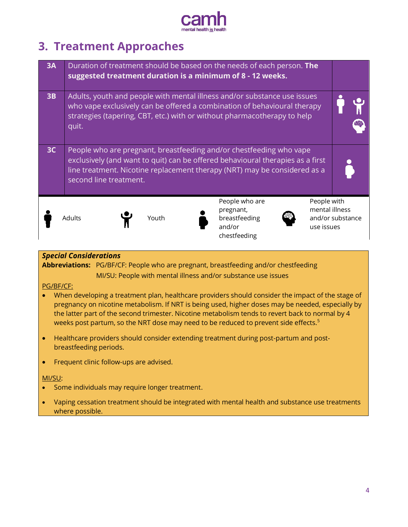

# <span id="page-3-0"></span>**3. Treatment Approaches**

| 3A |                        |       | Duration of treatment should be based on the needs of each person. The<br>suggested treatment duration is a minimum of 8 - 12 weeks.                                                                                               |                                                                 |
|----|------------------------|-------|------------------------------------------------------------------------------------------------------------------------------------------------------------------------------------------------------------------------------------|-----------------------------------------------------------------|
| 3B | quit.                  |       | Adults, youth and people with mental illness and/or substance use issues<br>who vape exclusively can be offered a combination of behavioural therapy<br>strategies (tapering, CBT, etc.) with or without pharmacotherapy to help   |                                                                 |
| 3C | second line treatment. |       | People who are pregnant, breastfeeding and/or chestfeeding who vape<br>exclusively (and want to quit) can be offered behavioural therapies as a first<br>line treatment. Nicotine replacement therapy (NRT) may be considered as a |                                                                 |
|    | Adults                 | Youth | People who are<br>pregnant,<br>breastfeeding<br>and/or<br>chestfeeding                                                                                                                                                             | People with<br>mental illness<br>and/or substance<br>use issues |

### *Special Considerations*

**Abbreviations:** PG/BF/CF: People who are pregnant, breastfeeding and/or chestfeeding MI/SU: People with mental illness and/or substance use issues

### PG/BF/CF:

- When developing a treatment plan, healthcare providers should consider the impact of the stage of pregnancy on nicotine metabolism. If NRT is being used, higher doses may be needed, especially by the latter part of the second trimester. Nicotine metabolism tends to revert back to normal by 4 weeks post partum, so the NRT dose may need to be reduced to prevent side effects.<sup>5</sup>
- Healthcare providers should consider extending treatment during post-partum and postbreastfeeding periods.
- Frequent clinic follow-ups are advised.

#### MI/SU:

- Some individuals may require longer treatment.
- Vaping cessation treatment should be integrated with mental health and substance use treatments where possible.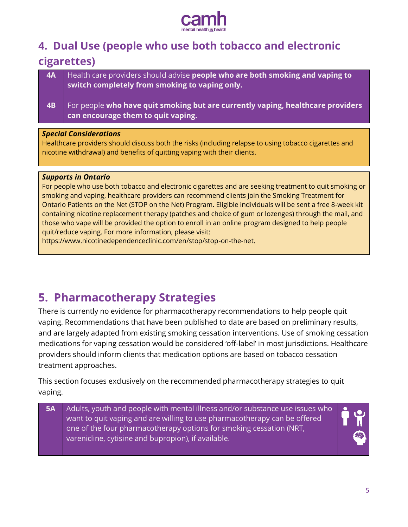

## <span id="page-4-0"></span>**4. Dual Use (people who use both tobacco and electronic**

### **cigarettes)**

| 4A | Health care providers should advise <b>people who are both smoking and vaping to</b><br>switch completely from smoking to vaping only. |
|----|----------------------------------------------------------------------------------------------------------------------------------------|
|    | For people who have quit smoking but are currently vaping, healthcare providers<br>can encourage them to quit vaping.                  |

### *Special Considerations*

Healthcare providers should discuss both the risks (including relapse to using tobacco cigarettes and nicotine withdrawal) and benefits of quitting vaping with their clients.

### *Supports in Ontario*

For people who use both tobacco and electronic cigarettes and are seeking treatment to quit smoking or smoking and vaping, healthcare providers can recommend clients join the Smoking Treatment for Ontario Patients on the Net (STOP on the Net) Program. Eligible individuals will be sent a free 8-week kit containing nicotine replacement therapy (patches and choice of gum or lozenges) through the mail, and those who vape will be provided the option to enroll in an online program designed to help people quit/reduce vaping. For more information, please visit:

[https://www.nicotinedependenceclinic.com/en/stop/stop-on-the-net.](https://www.nicotinedependenceclinic.com/en/stop/stop-on-the-net)

## <span id="page-4-1"></span>**5. Pharmacotherapy Strategies**

There is currently no evidence for pharmacotherapy recommendations to help people quit vaping. Recommendations that have been published to date are based on preliminary results, and are largely adapted from existing smoking cessation interventions. Use of smoking cessation medications for vaping cessation would be considered 'off-label' in most jurisdictions. Healthcare providers should inform clients that medication options are based on tobacco cessation treatment approaches.

This section focuses exclusively on the recommended pharmacotherapy strategies to quit vaping.

**5A** Adults, youth and people with mental illness and/or substance use issues who want to quit vaping and are willing to use pharmacotherapy can be offered one of the four pharmacotherapy options for smoking cessation (NRT, varenicline, cytisine and bupropion), if available.

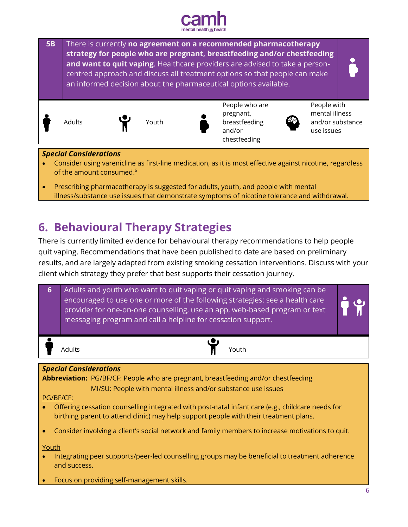



- Consider using varenicline as first-line medication, as it is most effective against nicotine, regardless of the amount consumed. $^6$
- Prescribing pharmacotherapy is suggested for adults, youth, and people with mental illness/substance use issues that demonstrate symptoms of nicotine tolerance and withdrawal.

# <span id="page-5-0"></span>**6. Behavioural Therapy Strategies**

There is currently limited evidence for behavioural therapy recommendations to help people quit vaping. Recommendations that have been published to date are based on preliminary results, and are largely adapted from existing smoking cessation interventions. Discuss with your client which strategy they prefer that best supports their cessation journey.

| $6 \overline{6}$ | Adults and youth who want to quit vaping or quit vaping and smoking can be<br>encouraged to use one or more of the following strategies: see a health care<br>provider for one-on-one counselling, use an app, web-based program or text<br>messaging program and call a helpline for cessation support.                                                                                 |  |
|------------------|------------------------------------------------------------------------------------------------------------------------------------------------------------------------------------------------------------------------------------------------------------------------------------------------------------------------------------------------------------------------------------------|--|
|                  | Adults<br>Youth                                                                                                                                                                                                                                                                                                                                                                          |  |
| PG/BF/CF:        | <b>Special Considerations</b><br><b>Abbreviation:</b> PG/BF/CF: People who are pregnant, breastfeeding and/or chestfeeding<br>MI/SU: People with mental illness and/or substance use issues<br>Offering cessation counselling integrated with post-natal infant care (e.g., childcare needs for<br>birthing parent to attend clinic) may help support people with their treatment plans. |  |
| ۰<br>Youth       | Consider involving a client's social network and family members to increase motivations to quit.<br>Integrating peer supports/peer-led counselling groups may be beneficial to treatment adherence<br>and success.                                                                                                                                                                       |  |
|                  | Focus on providing self-management skills.                                                                                                                                                                                                                                                                                                                                               |  |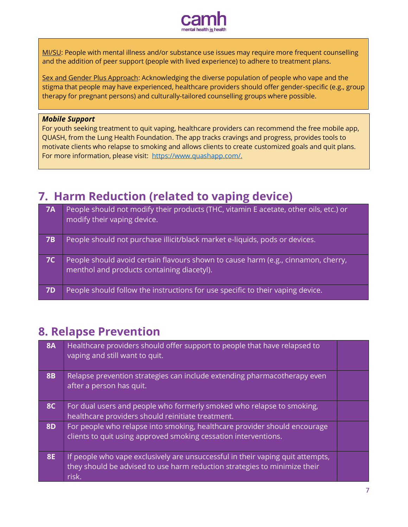

MI/SU: People with mental illness and/or substance use issues may require more frequent counselling and the addition of peer support (people with lived experience) to adhere to treatment plans.

Sex and Gender Plus Approach: Acknowledging the diverse population of people who vape and the stigma that people may have experienced, healthcare providers should offer gender-specific (e.g., group therapy for pregnant persons) and culturally-tailored counselling groups where possible.

### *Mobile Support*

For youth seeking treatment to quit vaping, healthcare providers can recommend the free mobile app, QUASH, from the Lung Health Foundation. The app tracks cravings and progress, provides tools to motivate clients who relapse to smoking and allows clients to create customized goals and quit plans. For more information, please visit: [https://www.quashapp.com/.](https://www.quashapp.com/)

## <span id="page-6-0"></span>**7. Harm Reduction (related to vaping device)**

| <b>7A</b> | People should not modify their products (THC, vitamin E acetate, other oils, etc.) or<br>modify their vaping device.            |
|-----------|---------------------------------------------------------------------------------------------------------------------------------|
| <b>7B</b> | People should not purchase illicit/black market e-liquids, pods or devices.                                                     |
| <b>7C</b> | People should avoid certain flavours shown to cause harm (e.g., cinnamon, cherry,<br>menthol and products containing diacetyl). |
| <b>7D</b> | People should follow the instructions for use specific to their vaping device.                                                  |

## <span id="page-6-1"></span>**8. Relapse Prevention**

| <b>8A</b> | Healthcare providers should offer support to people that have relapsed to<br>vaping and still want to quit.                                                          |  |
|-----------|----------------------------------------------------------------------------------------------------------------------------------------------------------------------|--|
| <b>8B</b> | Relapse prevention strategies can include extending pharmacotherapy even<br>after a person has quit.                                                                 |  |
| <b>8C</b> | For dual users and people who formerly smoked who relapse to smoking,<br>healthcare providers should reinitiate treatment.                                           |  |
| <b>8D</b> | For people who relapse into smoking, healthcare provider should encourage<br>clients to quit using approved smoking cessation interventions.                         |  |
| <b>8E</b> | If people who vape exclusively are unsuccessful in their vaping quit attempts,<br>they should be advised to use harm reduction strategies to minimize their<br>risk. |  |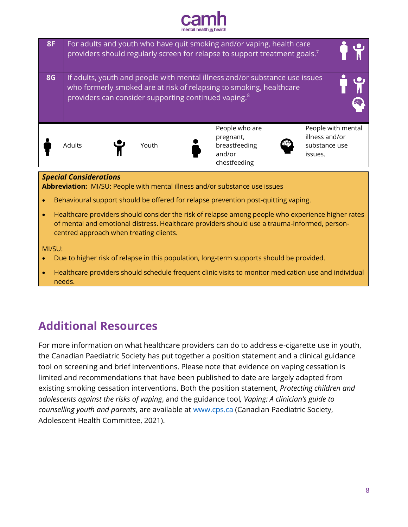



 Healthcare providers should schedule frequent clinic visits to monitor medication use and individual needs.

# **Additional Resources**

For more information on what healthcare providers can do to address e-cigarette use in youth, the Canadian Paediatric Society has put together a position statement and a clinical guidance tool on screening and brief interventions. Please note that evidence on vaping cessation is limited and recommendations that have been published to date are largely adapted from existing smoking cessation interventions. Both the position statement, *Protecting children and adolescents against the risks of vaping*, and the guidance tool*, Vaping: A clinician's guide to counselling youth and parents*, are available at [www.cps.ca](http://www.cps.ca/) (Canadian Paediatric Society, Adolescent Health Committee, 2021).